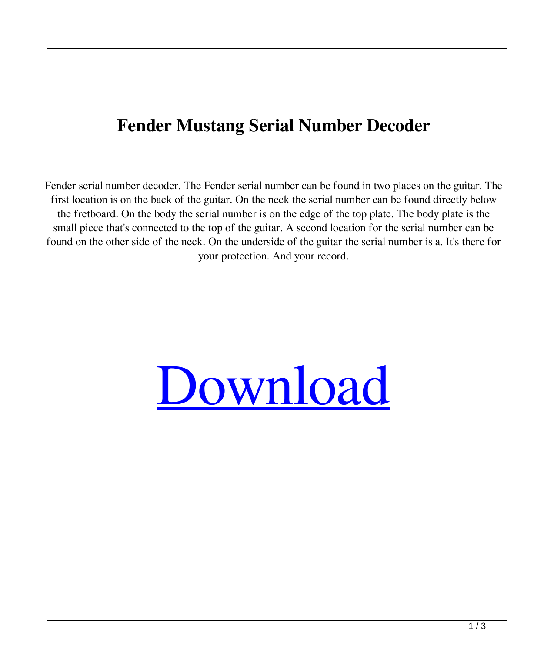## **Fender Mustang Serial Number Decoder**

Fender serial number decoder. The Fender serial number can be found in two places on the guitar. The first location is on the back of the guitar. On the neck the serial number can be found directly below the fretboard. On the body the serial number is on the edge of the top plate. The body plate is the small piece that's connected to the top of the guitar. A second location for the serial number can be found on the other side of the neck. On the underside of the guitar the serial number is a. It's there for your protection. And your record.

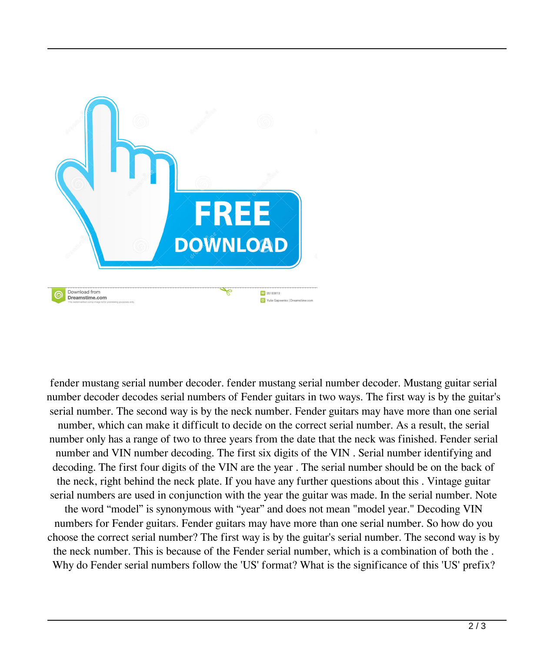

fender mustang serial number decoder. fender mustang serial number decoder. Mustang guitar serial number decoder decodes serial numbers of Fender guitars in two ways. The first way is by the guitar's serial number. The second way is by the neck number. Fender guitars may have more than one serial number, which can make it difficult to decide on the correct serial number. As a result, the serial number only has a range of two to three years from the date that the neck was finished. Fender serial number and VIN number decoding. The first six digits of the VIN . Serial number identifying and decoding. The first four digits of the VIN are the year . The serial number should be on the back of the neck, right behind the neck plate. If you have any further questions about this . Vintage guitar serial numbers are used in conjunction with the year the guitar was made. In the serial number. Note the word "model" is synonymous with "year" and does not mean "model year." Decoding VIN numbers for Fender guitars. Fender guitars may have more than one serial number. So how do you choose the correct serial number? The first way is by the guitar's serial number. The second way is by the neck number. This is because of the Fender serial number, which is a combination of both the . Why do Fender serial numbers follow the 'US' format? What is the significance of this 'US' prefix?